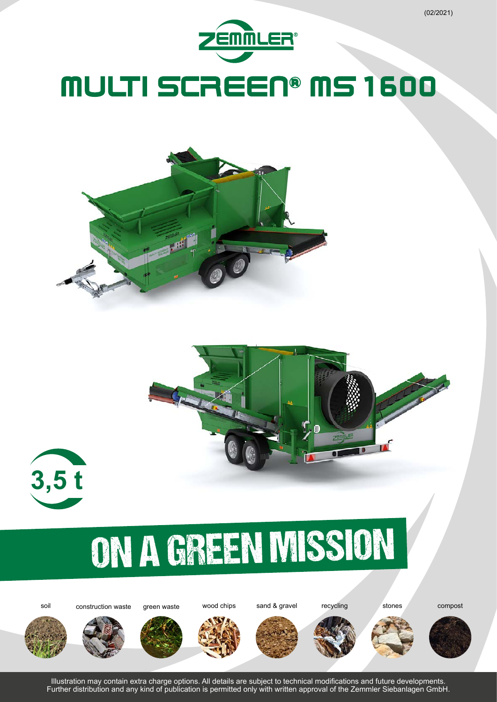







# ON A GREEN MISSION

soil construction waste green waste wood chips sand & gravel recycling stones compost

















Illustration may contain extra charge options. All details are subject to technical modifications and future developments. Further distribution and any kind of publication is permitted only with written approval of the Zemmler Siebanlagen GmbH.

(02/2021)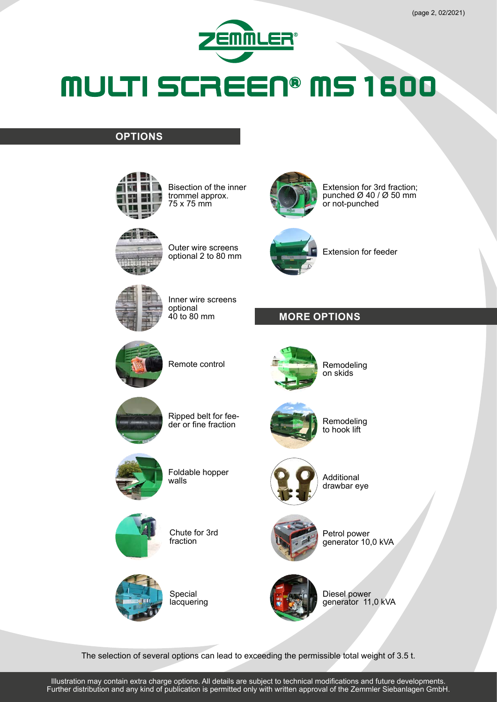

#### **OPTIONS**



Bisection of the inner trommel approx. 75 x 75 mm



Extension for 3rd fraction; punched  $\varnothing$  40 /  $\varnothing$  50 mm or not-punched



Outer wire screens optional 2 to 80 mm

Inner wire screens

optional 40 to 80 mm



Extension for feeder





Remote control



Remodeling on skids



Remodeling to hook lift



Foldable hopper walls

Ripped belt for feeder or fine fraction



Chute for 3rd fraction



Special **lacquering** 



Additional drawbar eye



Petrol power generator 10,0 kVA



Diesel power generator 11,0 kVA

The selection of several options can lead to exceeding the permissible total weight of 3.5 t.

Illustration may contain extra charge options. All details are subject to technical modifications and future developments. Further distribution and any kind of publication is permitted only with written approval of the Zemmler Siebanlagen GmbH.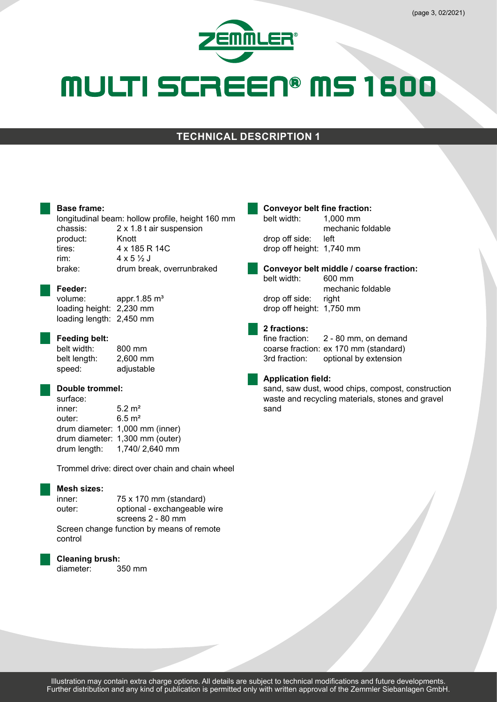

#### **TECHNICAL DESCRIPTION 1**

#### **Base frame:**

longitudinal beam: hollow profile, height 160 mm chassis: 2 x 1.8 t air suspension product: Knott tires: 4 x 185 R 14C rim:  $4 \times 5 \frac{1}{3}$  J brake: drum break, overrunbraked

### **Feeder:**

appr.1.85  $m<sup>3</sup>$ loading height: 2,230 mm loading length: 2,450 mm

#### **Feeding belt:**

belt width: 800 mm belt length: 2,600 mm speed: adjustable

#### **Double trommel:**

surface: inner: 5.2 m² outer: 6.5 m² drum diameter: 1,000 mm (inner) drum diameter: 1,300 mm (outer) drum length: 1,740/ 2,640 mm

Trommel drive: direct over chain and chain wheel

#### **Mesh sizes:**

| inner:                                    | 75 x 170 mm (standard)       |
|-------------------------------------------|------------------------------|
| outer:                                    | optional - exchangeable wire |
|                                           | screens $2 - 80$ mm          |
| Screen change function by means of remote |                              |
| control                                   |                              |

#### **Cleaning brush:**

diameter: 350 mm

### **Conveyor belt fine fraction:**<br>helt width: 1000 mm

belt width: 1,000 mm mechanic foldable drop off side: left drop off height: 1,740 mm

**Conveyor belt middle / coarse fraction:** belt width: mechanic foldable drop off side: right drop off height: 1,750 mm

### **2 fractions:**

2 - 80 mm, on demand coarse fraction: ex 170 mm (standard) 3rd fraction: optional by extension

#### **Application field:**

sand, saw dust, wood chips, compost, construction waste and recycling materials, stones and gravel sand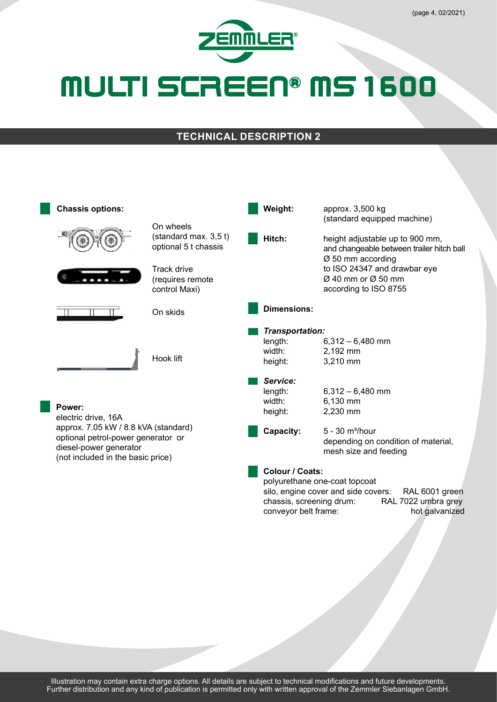

#### **TECHNICAL DESCRIPTION 2**

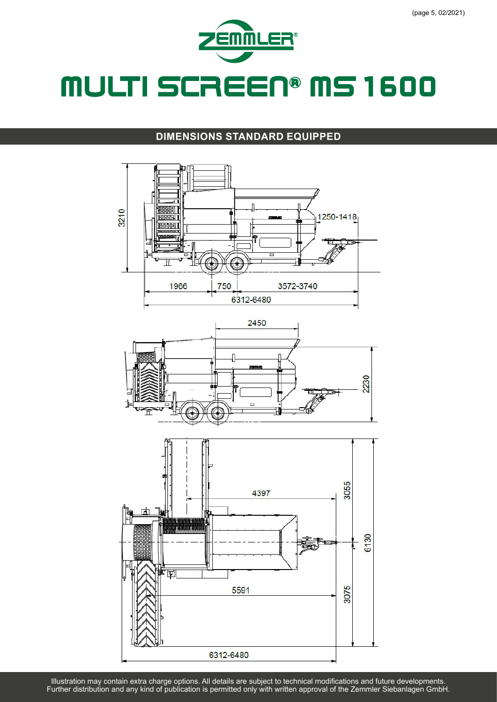

#### **DIMENSIONS STANDARD EQUIPPED**



Illustration may contain extra charge options. All details are subject to technical modifications and future developments. Further distribution and any kind of publication is permitted only with written approval of the Zemmler Siebanlagen GmbH.